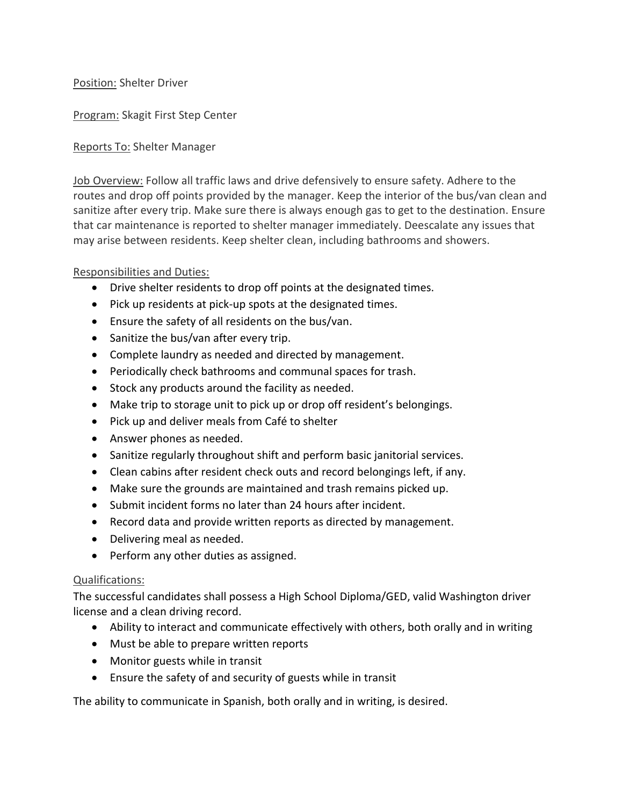### Position: Shelter Driver

Program: Skagit First Step Center

### Reports To: Shelter Manager

Job Overview: Follow all traffic laws and drive defensively to ensure safety. Adhere to the routes and drop off points provided by the manager. Keep the interior of the bus/van clean and sanitize after every trip. Make sure there is always enough gas to get to the destination. Ensure that car maintenance is reported to shelter manager immediately. Deescalate any issues that may arise between residents. Keep shelter clean, including bathrooms and showers.

### Responsibilities and Duties:

- Drive shelter residents to drop off points at the designated times.
- Pick up residents at pick-up spots at the designated times.
- Ensure the safety of all residents on the bus/van.
- Sanitize the bus/van after every trip.
- Complete laundry as needed and directed by management.
- Periodically check bathrooms and communal spaces for trash.
- Stock any products around the facility as needed.
- Make trip to storage unit to pick up or drop off resident's belongings.
- Pick up and deliver meals from Café to shelter
- Answer phones as needed.
- Sanitize regularly throughout shift and perform basic janitorial services.
- Clean cabins after resident check outs and record belongings left, if any.
- Make sure the grounds are maintained and trash remains picked up.
- Submit incident forms no later than 24 hours after incident.
- Record data and provide written reports as directed by management.
- Delivering meal as needed.
- Perform any other duties as assigned.

# Qualifications:

The successful candidates shall possess a High School Diploma/GED, valid Washington driver license and a clean driving record.

- Ability to interact and communicate effectively with others, both orally and in writing
- Must be able to prepare written reports
- Monitor guests while in transit
- Ensure the safety of and security of guests while in transit

The ability to communicate in Spanish, both orally and in writing, is desired.